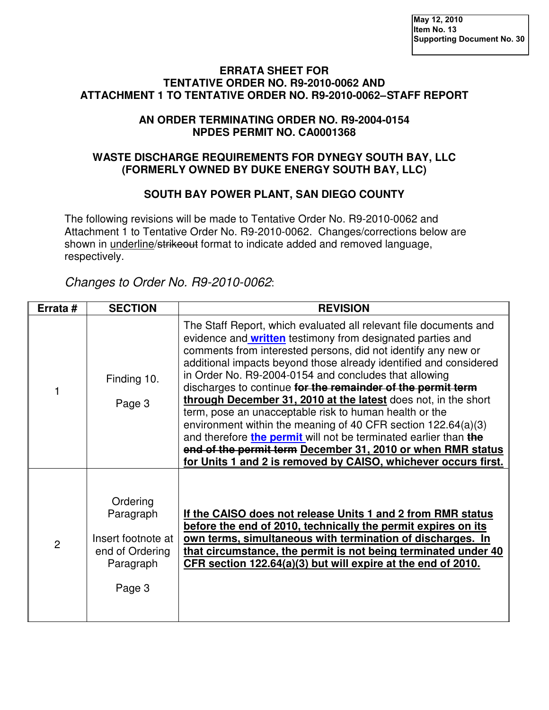#### **ERRATA SHEET FOR TENTATIVE ORDER NO. R9-2010-0062 AND ATTACHMENT 1 TO TENTATIVE ORDER NO. R9-2010-0062 – STAFF REPORT**

### **AN ORDER TERMINATING ORDER NO. R9-2004-0154 NPDES PERMIT NO. CA0001368**

### **WASTE DISCHARGE REQUIREMENTS FOR DYNEGY SOUTH BAY, LLC (FORMERLY OWNED BY DUKE ENERGY SOUTH BAY, LLC)**

## **SOUTH BAY POWER PLANT, SAN DIEGO COUNTY**

The following revisions will be made to Tentative Order No. R9-2010-0062 and Attachment 1 to Tentative Order No. R9-2010-0062. Changes/corrections below are shown in underline/strikeout format to indicate added and removed language, respectively.

Changes to Order No. R9-2010-0062:

| Errata #       | <b>SECTION</b>                                                                        | <b>REVISION</b>                                                                                                                                                                                                                                                                                                                                                                                                                                                                                                                                                                                                                                                                                                                                                                                          |
|----------------|---------------------------------------------------------------------------------------|----------------------------------------------------------------------------------------------------------------------------------------------------------------------------------------------------------------------------------------------------------------------------------------------------------------------------------------------------------------------------------------------------------------------------------------------------------------------------------------------------------------------------------------------------------------------------------------------------------------------------------------------------------------------------------------------------------------------------------------------------------------------------------------------------------|
|                | Finding 10.<br>Page 3                                                                 | The Staff Report, which evaluated all relevant file documents and<br>evidence and <b>written</b> testimony from designated parties and<br>comments from interested persons, did not identify any new or<br>additional impacts beyond those already identified and considered<br>in Order No. R9-2004-0154 and concludes that allowing<br>discharges to continue for the remainder of the permit term<br>through December 31, 2010 at the latest does not, in the short<br>term, pose an unacceptable risk to human health or the<br>environment within the meaning of 40 CFR section $122.64(a)(3)$<br>and therefore the permit will not be terminated earlier than the<br>end of the permit term December 31, 2010 or when RMR status<br>for Units 1 and 2 is removed by CAISO, whichever occurs first. |
| $\overline{2}$ | Ordering<br>Paragraph<br>Insert footnote at<br>end of Ordering<br>Paragraph<br>Page 3 | If the CAISO does not release Units 1 and 2 from RMR status<br>before the end of 2010, technically the permit expires on its<br>own terms, simultaneous with termination of discharges. In<br>that circumstance, the permit is not being terminated under 40<br>CFR section 122.64(a)(3) but will expire at the end of 2010.                                                                                                                                                                                                                                                                                                                                                                                                                                                                             |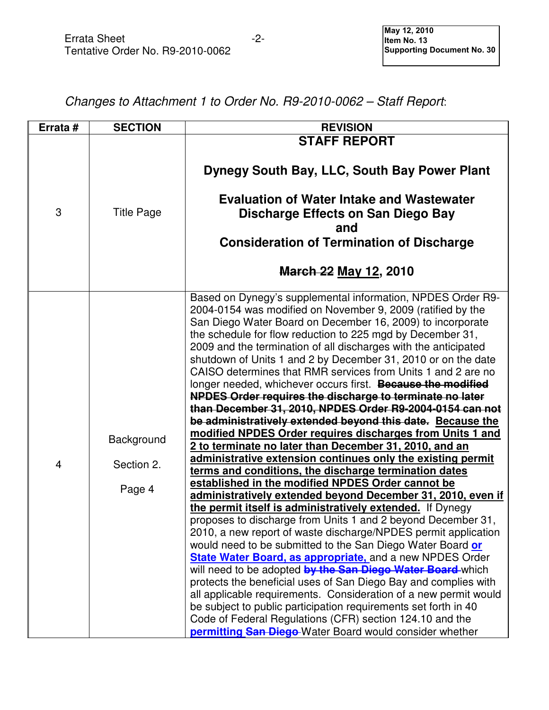# Changes to Attachment 1 to Order No. R9-2010-0062 – Staff Report:

| Errata #       | <b>SECTION</b>                     | <b>REVISION</b>                                                                                                                                                                                                                                                                                                                                                                                                                                                                                                                                                                                                                                                                                                                                                                                                                                                                                                                                                                                                                                                                                                                                                                                                                                                                                                                                                                                                                                                                                                                                                                                                                                                                                                                                                                                                          |
|----------------|------------------------------------|--------------------------------------------------------------------------------------------------------------------------------------------------------------------------------------------------------------------------------------------------------------------------------------------------------------------------------------------------------------------------------------------------------------------------------------------------------------------------------------------------------------------------------------------------------------------------------------------------------------------------------------------------------------------------------------------------------------------------------------------------------------------------------------------------------------------------------------------------------------------------------------------------------------------------------------------------------------------------------------------------------------------------------------------------------------------------------------------------------------------------------------------------------------------------------------------------------------------------------------------------------------------------------------------------------------------------------------------------------------------------------------------------------------------------------------------------------------------------------------------------------------------------------------------------------------------------------------------------------------------------------------------------------------------------------------------------------------------------------------------------------------------------------------------------------------------------|
|                |                                    | <b>STAFF REPORT</b>                                                                                                                                                                                                                                                                                                                                                                                                                                                                                                                                                                                                                                                                                                                                                                                                                                                                                                                                                                                                                                                                                                                                                                                                                                                                                                                                                                                                                                                                                                                                                                                                                                                                                                                                                                                                      |
| 3              | <b>Title Page</b>                  | Dynegy South Bay, LLC, South Bay Power Plant<br><b>Evaluation of Water Intake and Wastewater</b><br>Discharge Effects on San Diego Bay<br>and<br><b>Consideration of Termination of Discharge</b><br><b>March 22 May 12, 2010</b>                                                                                                                                                                                                                                                                                                                                                                                                                                                                                                                                                                                                                                                                                                                                                                                                                                                                                                                                                                                                                                                                                                                                                                                                                                                                                                                                                                                                                                                                                                                                                                                        |
| $\overline{4}$ | Background<br>Section 2.<br>Page 4 | Based on Dynegy's supplemental information, NPDES Order R9-<br>2004-0154 was modified on November 9, 2009 (ratified by the<br>San Diego Water Board on December 16, 2009) to incorporate<br>the schedule for flow reduction to 225 mgd by December 31,<br>2009 and the termination of all discharges with the anticipated<br>shutdown of Units 1 and 2 by December 31, 2010 or on the date<br>CAISO determines that RMR services from Units 1 and 2 are no<br>longer needed, whichever occurs first. Because the modified<br><b>NPDES Order requires the discharge to terminate no later</b><br>than December 31, 2010, NPDES Order R9-2004-0154 can not<br>be administratively extended beyond this date. Because the<br>modified NPDES Order requires discharges from Units 1 and<br>2 to terminate no later than December 31, 2010, and an<br>administrative extension continues only the existing permit<br>terms and conditions, the discharge termination dates<br>established in the modified NPDES Order cannot be<br>administratively extended beyond December 31, 2010, even if<br>the permit itself is administratively extended. If Dynegy<br>proposes to discharge from Units 1 and 2 beyond December 31,<br>2010, a new report of waste discharge/NPDES permit application<br>would need to be submitted to the San Diego Water Board or<br><b>State Water Board, as appropriate, and a new NPDES Order</b><br>will need to be adopted by the San Diego Water Board-which<br>protects the beneficial uses of San Diego Bay and complies with<br>all applicable requirements. Consideration of a new permit would<br>be subject to public participation requirements set forth in 40<br>Code of Federal Regulations (CFR) section 124.10 and the<br>permitting San Diego-Water Board would consider whether |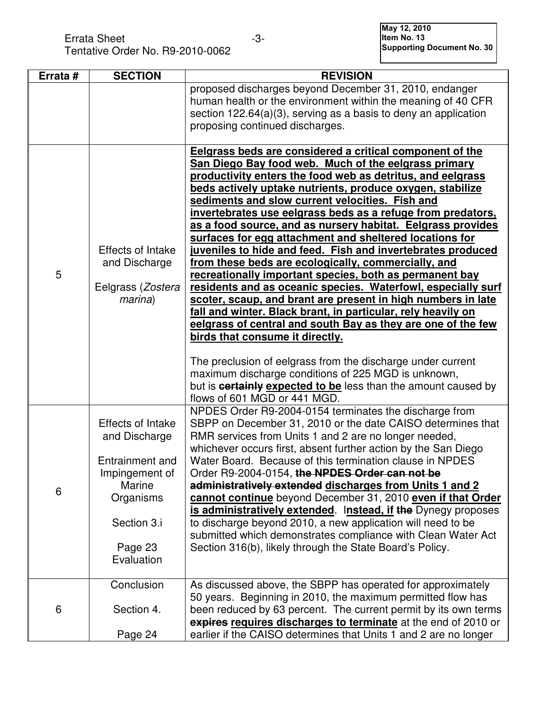Errata Sheet **-3**- All the Mount of the Mount of the Mount of the Mount of the Mount of the Mount of the Mount of the Mount of the Mount of the Mount of the Mount of the Mount of the Mount of the Mount of the Mount of the Tentative Order No. R9-2010-0062 **Italy 13** Item No. 13 Item No. 13 Item No. 13 Item No. 13 Item No. 13 Item No

| Errata # | <b>SECTION</b>                                                                                                                         | <b>REVISION</b>                                                                                                                                                                                                                                                                                                                                                                                                                                                                                                                                                                                                                                                                                                                                                                                                                                                                                                                                                                                                                                                                                                                                                                                            |
|----------|----------------------------------------------------------------------------------------------------------------------------------------|------------------------------------------------------------------------------------------------------------------------------------------------------------------------------------------------------------------------------------------------------------------------------------------------------------------------------------------------------------------------------------------------------------------------------------------------------------------------------------------------------------------------------------------------------------------------------------------------------------------------------------------------------------------------------------------------------------------------------------------------------------------------------------------------------------------------------------------------------------------------------------------------------------------------------------------------------------------------------------------------------------------------------------------------------------------------------------------------------------------------------------------------------------------------------------------------------------|
|          |                                                                                                                                        | proposed discharges beyond December 31, 2010, endanger<br>human health or the environment within the meaning of 40 CFR<br>section $122.64(a)(3)$ , serving as a basis to deny an application<br>proposing continued discharges.                                                                                                                                                                                                                                                                                                                                                                                                                                                                                                                                                                                                                                                                                                                                                                                                                                                                                                                                                                            |
| 5        | Effects of Intake<br>and Discharge<br>Eelgrass (Zostera<br>marina)                                                                     | Eelgrass beds are considered a critical component of the<br>San Diego Bay food web. Much of the eelgrass primary<br>productivity enters the food web as detritus, and eelgrass<br>beds actively uptake nutrients, produce oxygen, stabilize<br>sediments and slow current velocities. Fish and<br>invertebrates use eelgrass beds as a refuge from predators,<br>as a food source, and as nursery habitat. Eelgrass provides<br>surfaces for egg attachment and sheltered locations for<br>juveniles to hide and feed. Fish and invertebrates produced<br>from these beds are ecologically, commercially, and<br>recreationally important species, both as permanent bay<br>residents and as oceanic species. Waterfowl, especially surf<br>scoter, scaup, and brant are present in high numbers in late<br>fall and winter. Black brant, in particular, rely heavily on<br>eelgrass of central and south Bay as they are one of the few<br>birds that consume it directly.<br>The preclusion of eelgrass from the discharge under current<br>maximum discharge conditions of 225 MGD is unknown,<br>but is <b>certainly expected to be</b> less than the amount caused by<br>flows of 601 MGD or 441 MGD. |
| 6        | Effects of Intake<br>and Discharge<br>Entrainment and<br>Impingement of<br>Marine<br>Organisms<br>Section 3.i<br>Page 23<br>Evaluation | NPDES Order R9-2004-0154 terminates the discharge from<br>SBPP on December 31, 2010 or the date CAISO determines that<br>RMR services from Units 1 and 2 are no longer needed,<br>whichever occurs first, absent further action by the San Diego<br>Water Board. Because of this termination clause in NPDES<br>Order R9-2004-0154, the NPDES Order can not be<br>administratively extended discharges from Units 1 and 2<br>cannot continue beyond December 31, 2010 even if that Order<br>is administratively extended. Instead, if the Dynegy proposes<br>to discharge beyond 2010, a new application will need to be<br>submitted which demonstrates compliance with Clean Water Act<br>Section 316(b), likely through the State Board's Policy.                                                                                                                                                                                                                                                                                                                                                                                                                                                       |
| 6        | Conclusion<br>Section 4.<br>Page 24                                                                                                    | As discussed above, the SBPP has operated for approximately<br>50 years. Beginning in 2010, the maximum permitted flow has<br>been reduced by 63 percent. The current permit by its own terms<br>expires requires discharges to terminate at the end of 2010 or<br>earlier if the CAISO determines that Units 1 and 2 are no longer                                                                                                                                                                                                                                                                                                                                                                                                                                                                                                                                                                                                                                                                                                                                                                                                                                                                        |